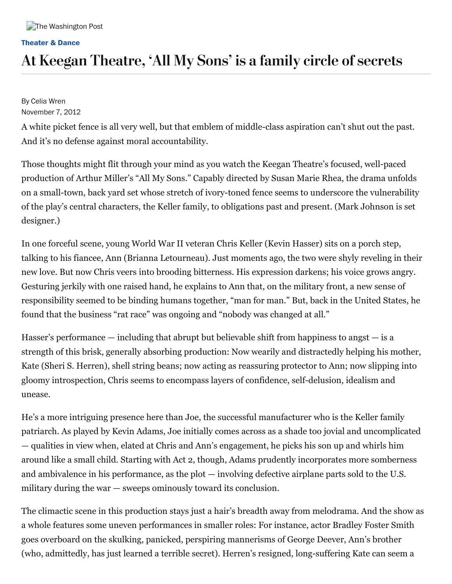#### **[Theater](https://www.washingtonpost.com/entertainment/theater-dance) & Dance**

# At Keegan Theatre, 'All My Sons' is a family circle of secrets

By Celia Wren November 7, 2012

A white picket fence is all very well, but that emblem of middle-class aspiration can't shut out the past. And it's no defense against moral accountability.

Those thoughts might flit through your mind as you watch the Keegan Theatre's focused, well-paced production of Arthur Miller's "All My Sons." Capably directed by Susan Marie Rhea, the drama unfolds on a small-town, back yard set whose stretch of ivory-toned fence seems to underscore the vulnerability of the play's central characters, the Keller family, to obligations past and present. (Mark Johnson is set designer.)

In one forceful scene, young World War II veteran Chris Keller (Kevin Hasser) sits on a porch step, talking to his fiancee, Ann (Brianna Letourneau). Just moments ago, the two were shyly reveling in their new love. But now Chris veers into brooding bitterness. His expression darkens; his voice grows angry. Gesturing jerkily with one raised hand, he explains to Ann that, on the military front, a new sense of responsibility seemed to be binding humans together, "man for man." But, back in the United States, he found that the business "rat race" was ongoing and "nobody was changed at all."

Hasser's performance  $-$  including that abrupt but believable shift from happiness to angst  $-$  is a strength of this brisk, generally absorbing production: Now wearily and distractedly helping his mother, Kate (Sheri S. Herren), shell string beans; now acting as reassuring protector to Ann; now slipping into gloomy introspection, Chris seems to encompass layers of confidence, self-delusion, idealism and unease.

He's a more intriguing presence here than Joe, the successful manufacturer who is the Keller family patriarch. As played by Kevin Adams, Joe initially comes across as a shade too jovial and uncomplicated — qualities in view when, elated at Chris and Ann's engagement, he picks his son up and whirls him around like a small child. Starting with Act 2, though, Adams prudently incorporates more somberness and ambivalence in his performance, as the plot — involving defective airplane parts sold to the U.S. military during the war — sweeps ominously toward its conclusion.

The climactic scene in this production stays just a hair's breadth away from melodrama. And the show as a whole features some uneven performances in smaller roles: For instance, actor Bradley Foster Smith goes overboard on the skulking, panicked, perspiring mannerisms of George Deever, Ann's brother (who, admittedly, has just learned a terrible secret). Herren's resigned, long-suffering Kate can seem a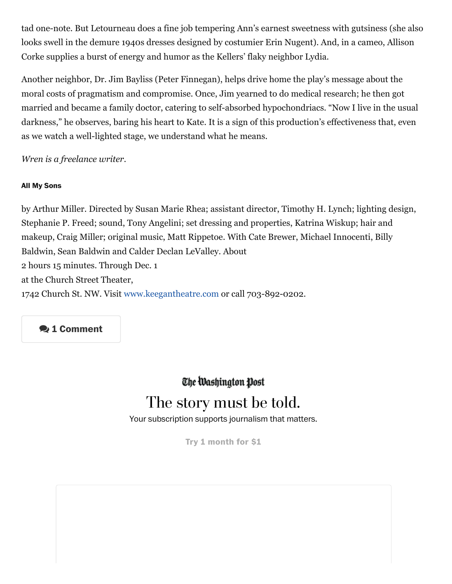tad one-note. But Letourneau does a fine job tempering Ann's earnest sweetness with gutsiness (she also looks swell in the demure 1940s dresses designed by costumier Erin Nugent). And, in a cameo, Allison Corke supplies a burst of energy and humor as the Kellers' flaky neighbor Lydia.

Another neighbor, Dr. Jim Bayliss (Peter Finnegan), helps drive home the play's message about the moral costs of pragmatism and compromise. Once, Jim yearned to do medical research; he then got married and became a family doctor, catering to self-absorbed hypochondriacs. "Now I live in the usual darkness," he observes, baring his heart to Kate. It is a sign of this production's effectiveness that, even as we watch a well-lighted stage, we understand what he means.

*Wren is a freelance writer.*

### **All My Sons**

by Arthur Miller. Directed by Susan Marie Rhea; assistant director, Timothy H. Lynch; lighting design, Stephanie P. Freed; sound, Tony Angelini; set dressing and properties, Katrina Wiskup; hair and makeup, Craig Miller; original music, Matt Rippetoe. With Cate Brewer, Michael Innocenti, Billy Baldwin, Sean Baldwin and Calder Declan LeValley. About 2 hours 15 minutes. Through Dec. 1 at the Church Street Theater, 1742 Church St. NW. Visit www.keegantheatre.com or call 703-892-0202.

### **1 Comment**

The Washington Post

## The story must be told.

Your subscription supports journalism that matters.

**Try 1 [month](https://subscribe.washingtonpost.com/acquisition/?promo=d_am_in_a18&oscode=RPWH&tid=s_028) for \$1**